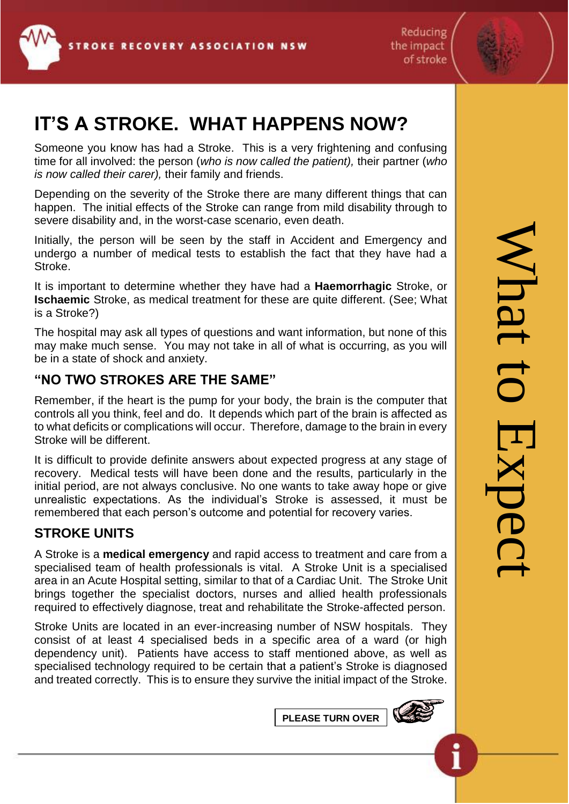

Reducing the impact of stroke



## **IT'S A STROKE. WHAT HAPPENS NOW?**

Someone you know has had a Stroke. This is a very frightening and confusing time for all involved: the person (*who is now called the patient),* their partner (*who is now called their carer),* their family and friends.

Depending on the severity of the Stroke there are many different things that can happen. The initial effects of the Stroke can range from mild disability through to severe disability and, in the worst-case scenario, even death.

Initially, the person will be seen by the staff in Accident and Emergency and undergo a number of medical tests to establish the fact that they have had a Stroke.

It is important to determine whether they have had a **Haemorrhagic** Stroke, or **Ischaemic** Stroke, as medical treatment for these are quite different. (See; What is a Stroke?)

The hospital may ask all types of questions and want information, but none of this may make much sense. You may not take in all of what is occurring, as you will be in a state of shock and anxiety.

## **"NO TWO STROKES ARE THE SAME"**

Remember, if the heart is the pump for your body, the brain is the computer that controls all you think, feel and do. It depends which part of the brain is affected as to what deficits or complications will occur. Therefore, damage to the brain in every Stroke will be different.

It is difficult to provide definite answers about expected progress at any stage of recovery. Medical tests will have been done and the results, particularly in the initial period, are not always conclusive. No one wants to take away hope or give unrealistic expectations. As the individual's Stroke is assessed, it must be remembered that each person's outcome and potential for recovery varies.

## **STROKE UNITS**

A Stroke is a **medical emergency** and rapid access to treatment and care from a specialised team of health professionals is vital. A Stroke Unit is a specialised area in an Acute Hospital setting, similar to that of a Cardiac Unit. The Stroke Unit brings together the specialist doctors, nurses and allied health professionals required to effectively diagnose, treat and rehabilitate the Stroke-affected person.

Stroke Units are located in an ever-increasing number of NSW hospitals. They consist of at least 4 specialised beds in a specific area of a ward (or high dependency unit). Patients have access to staff mentioned above, as well as specialised technology required to be certain that a patient's Stroke is diagnosed and treated correctly. This is to ensure they survive the initial impact of the Stroke.

**PLEASE TURN OVER**